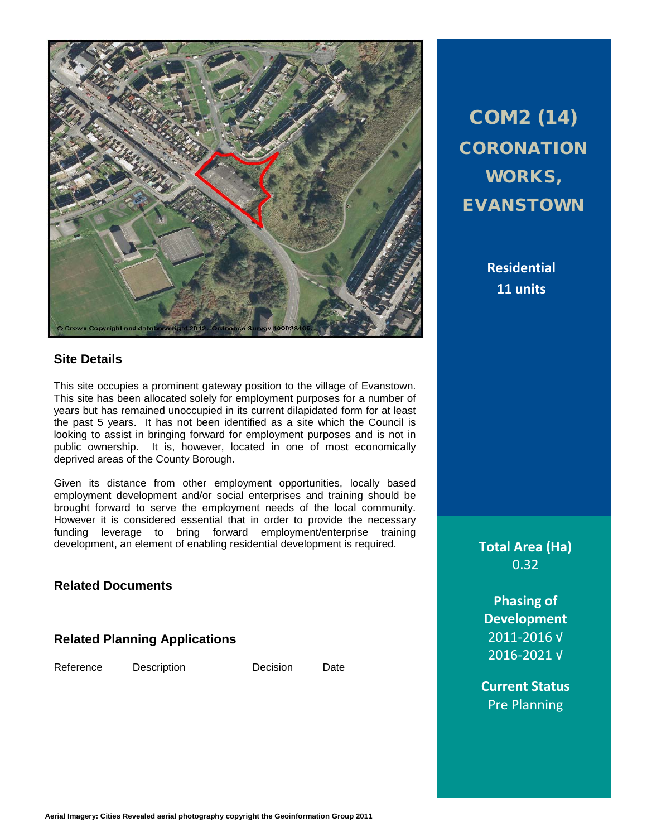

#### **Site Details**

This site occupies a prominent gateway position to the village of Evanstown. This site has been allocated solely for employment purposes for a number of years but has remained unoccupied in its current dilapidated form for at least the past 5 years. It has not been identified as a site which the Council is looking to assist in bringing forward for employment purposes and is not in public ownership. It is, however, located in one of most economically deprived areas of the County Borough.

Given its distance from other employment opportunities, locally based employment development and/or social enterprises and training should be brought forward to serve the employment needs of the local community. However it is considered essential that in order to provide the necessary funding leverage to bring forward employment/enterprise training development, an element of enabling residential development is required.

**Related Documents**

**Related Planning Applications**

Reference Description Decision Date

COM2 (14) **CORONATION** WORKS, EVANSTOWN

> **Residential 11 units**

**Total Area (Ha)** 0.32

**Phasing of Development** 2011-2016 √ 2016-2021 √

**Current Status** Pre Planning